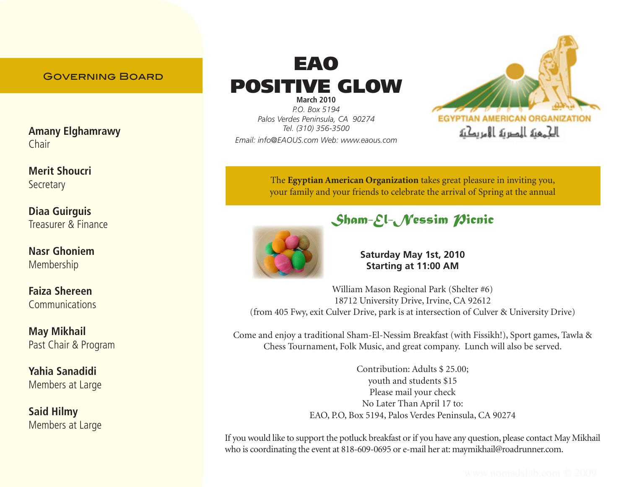## Governing Board

**Amany Elghamrawy** Chair

**Merit Shoucri Secretary** 

**Diaa Guirguis** Treasurer & Finance

**Nasr Ghoniem** Membership

**Faiza Shereen Communications** 

**May Mikhail** Past Chair & Program

**Yahia Sanadidi**  Members at Large

**Said Hilmy** Members at Large

# EAO POSITIVE GLOW

**March 2010** *P.O. Box 5194 Palos Verdes Peninsula, CA 90274 Tel. (310) 356-3500 Email: info@EAOUS.com Web: www.eaou*s*.com*



The **Egyptian American Organization** takes great pleasure in inviting you, your family and your friends to celebrate the arrival of Spring at the annual

# *Sham-El-Nessim Picnic*



**Saturday May 1st, 2010 Starting at 11:00 AM**

William Mason Regional Park (Shelter #6) 18712 University Drive, Irvine, CA 92612 (from 405 Fwy, exit Culver Drive, park is at intersection of Culver & University Drive)

Come and enjoy a traditional Sham-El-Nessim Breakfast (with Fissikh!), Sport games, Tawla & Chess Tournament, Folk Music, and great company. Lunch will also be served.

> Contribution: Adults \$ 25.00; youth and students \$15 Please mail your check No Later Than April 17 to: EAO, P.O, Box 5194, Palos Verdes Peninsula, CA 90274

If you would like to support the potluck breakfast or if you have any question, please contact May Mikhail who is coordinating the event at 818-609-0695 or e-mail her at: maymikhail@roadrunner.com.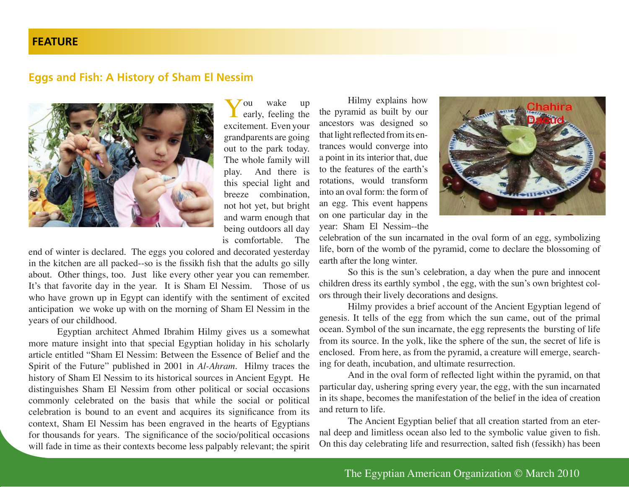#### **FEATURE**

#### **Eggs and Fish: A History of Sham El Nessim**



You wake up<br>early, feeling the excitement. Even your grandparents are going out to the park today. The whole family will play. And there is this special light and breeze combination, not hot yet, but bright and warm enough that being outdoors all day is comfortable. The

end of winter is declared. The eggs you colored and decorated yesterday in the kitchen are all packed--so is the fissikh fish that the adults go silly about. Other things, too. Just like every other year you can remember. It's that favorite day in the year. It is Sham El Nessim. Those of us who have grown up in Egypt can identify with the sentiment of excited anticipation we woke up with on the morning of Sham El Nessim in the years of our childhood.

Egyptian architect Ahmed Ibrahim Hilmy gives us a somewhat more mature insight into that special Egyptian holiday in his scholarly article entitled "Sham El Nessim: Between the Essence of Belief and the Spirit of the Future" published in 2001 in *Al-Ahram*. Hilmy traces the history of Sham El Nessim to its historical sources in Ancient Egypt. He distinguishes Sham El Nessim from other political or social occasions commonly celebrated on the basis that while the social or political celebration is bound to an event and acquires its significance from its context, Sham El Nessim has been engraved in the hearts of Egyptians for thousands for years. The significance of the socio/political occasions will fade in time as their contexts become less palpably relevant; the spirit

Hilmy explains how the pyramid as built by our ancestors was designed so that light reflected from its entrances would converge into a point in its interior that, due to the features of the earth's rotations, would transform into an oval form: the form of an egg. This event happens on one particular day in the year: Sham El Nessim--the



celebration of the sun incarnated in the oval form of an egg, symbolizing life, born of the womb of the pyramid, come to declare the blossoming of earth after the long winter.

So this is the sun's celebration, a day when the pure and innocent children dress its earthly symbol , the egg, with the sun's own brightest colors through their lively decorations and designs.

Hilmy provides a brief account of the Ancient Egyptian legend of genesis. It tells of the egg from which the sun came, out of the primal ocean. Symbol of the sun incarnate, the egg represents the bursting of life from its source. In the yolk, like the sphere of the sun, the secret of life is enclosed. From here, as from the pyramid, a creature will emerge, searching for death, incubation, and ultimate resurrection.

And in the oval form of reflected light within the pyramid, on that particular day, ushering spring every year, the egg, with the sun incarnated in its shape, becomes the manifestation of the belief in the idea of creation and return to life.

The Ancient Egyptian belief that all creation started from an eternal deep and limitless ocean also led to the symbolic value given to fish. On this day celebrating life and resurrection, salted fish (fessikh) has been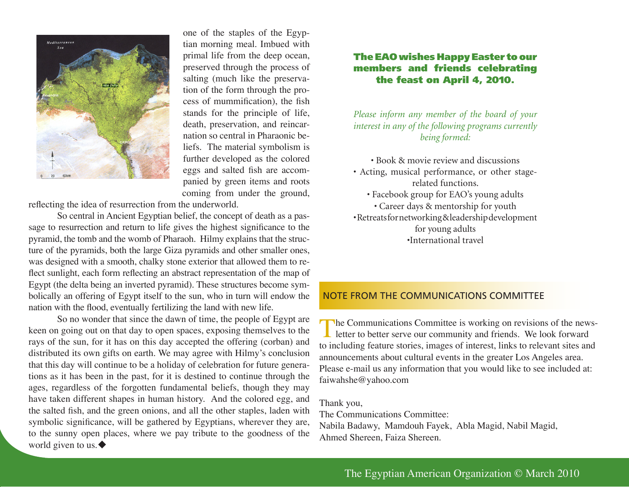

one of the staples of the Egyptian morning meal. Imbued with primal life from the deep ocean, preserved through the process of salting (much like the preservation of the form through the process of mummification), the fish stands for the principle of life, death, preservation, and reincarnation so central in Pharaonic beliefs. The material symbolism is further developed as the colored eggs and salted fish are accompanied by green items and roots coming from under the ground,

reflecting the idea of resurrection from the underworld.

So central in Ancient Egyptian belief, the concept of death as a passage to resurrection and return to life gives the highest significance to the pyramid, the tomb and the womb of Pharaoh. Hilmy explains that the structure of the pyramids, both the large Giza pyramids and other smaller ones, was designed with a smooth, chalky stone exterior that allowed them to reflect sunlight, each form reflecting an abstract representation of the map of Egypt (the delta being an inverted pyramid). These structures become symbolically an offering of Egypt itself to the sun, who in turn will endow the nation with the flood, eventually fertilizing the land with new life.

So no wonder that since the dawn of time, the people of Egypt are keen on going out on that day to open spaces, exposing themselves to the rays of the sun, for it has on this day accepted the offering (corban) and distributed its own gifts on earth. We may agree with Hilmy's conclusion that this day will continue to be a holiday of celebration for future generations as it has been in the past, for it is destined to continue through the ages, regardless of the forgotten fundamental beliefs, though they may have taken different shapes in human history. And the colored egg, and the salted fish, and the green onions, and all the other staples, laden with symbolic significance, will be gathered by Egyptians, wherever they are, to the sunny open places, where we pay tribute to the goodness of the world given to us. $\blacklozenge$ 

#### The EAO wishes Happy Easter to our members and friends celebrating the feast on April 4, 2010.

*Please inform any member of the board of your interest in any of the following programs currently being formed:*

• Book & movie review and discussions • Acting, musical performance, or other stagerelated functions. • Facebook group for EAO's young adults • Career days & mentorship for youth • Retreats for networking & leadership development for young adults •International travel

#### NOTE FROM THE COMMUNICATIONS COMMITTEE

The Communications Committee is working on revisions of the news-<br>letter to better serve our community and friends. We look forward to including feature stories, images of interest, links to relevant sites and announcements about cultural events in the greater Los Angeles area. Please e-mail us any information that you would like to see included at: faiwahshe@yahoo.com

Thank you,

The Communications Committee: Nabila Badawy, Mamdouh Fayek, Abla Magid, Nabil Magid, Ahmed Shereen, Faiza Shereen.